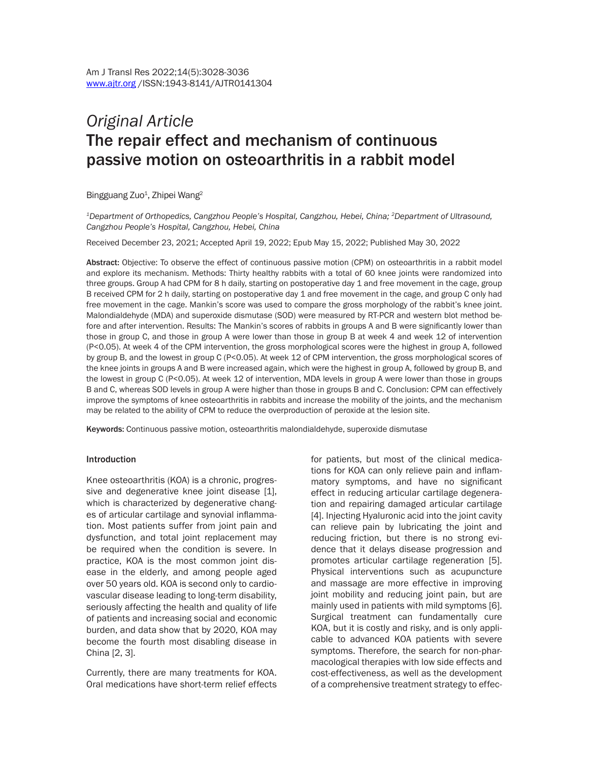# *Original Article*  The repair effect and mechanism of continuous passive motion on osteoarthritis in a rabbit model

Bingguang Zuo<sup>1</sup>, Zhipei Wang<sup>2</sup>

*1Department of Orthopedics, Cangzhou People's Hospital, Cangzhou, Hebei, China; 2Department of Ultrasound, Cangzhou People's Hospital, Cangzhou, Hebei, China*

Received December 23, 2021; Accepted April 19, 2022; Epub May 15, 2022; Published May 30, 2022

Abstract: Objective: To observe the effect of continuous passive motion (CPM) on osteoarthritis in a rabbit model and explore its mechanism. Methods: Thirty healthy rabbits with a total of 60 knee joints were randomized into three groups. Group A had CPM for 8 h daily, starting on postoperative day 1 and free movement in the cage, group B received CPM for 2 h daily, starting on postoperative day 1 and free movement in the cage, and group C only had free movement in the cage. Mankin's score was used to compare the gross morphology of the rabbit's knee joint. Malondialdehyde (MDA) and superoxide dismutase (SOD) were measured by RT-PCR and western blot method before and after intervention. Results: The Mankin's scores of rabbits in groups A and B were significantly lower than those in group C, and those in group A were lower than those in group B at week 4 and week 12 of intervention (P<0.05). At week 4 of the CPM intervention, the gross morphological scores were the highest in group A, followed by group B, and the lowest in group C (P<0.05). At week 12 of CPM intervention, the gross morphological scores of the knee joints in groups A and B were increased again, which were the highest in group A, followed by group B, and the lowest in group C (P<0.05). At week 12 of intervention, MDA levels in group A were lower than those in groups B and C, whereas SOD levels in group A were higher than those in groups B and C. Conclusion: CPM can effectively improve the symptoms of knee osteoarthritis in rabbits and increase the mobility of the joints, and the mechanism may be related to the ability of CPM to reduce the overproduction of peroxide at the lesion site.

Keywords: Continuous passive motion, osteoarthritis malondialdehyde, superoxide dismutase

#### Introduction

Knee osteoarthritis (KOA) is a chronic, progressive and degenerative knee joint disease [1], which is characterized by degenerative changes of articular cartilage and synovial inflammation. Most patients suffer from joint pain and dysfunction, and total joint replacement may be required when the condition is severe. In practice, KOA is the most common joint disease in the elderly, and among people aged over 50 years old. KOA is second only to cardiovascular disease leading to long-term disability, seriously affecting the health and quality of life of patients and increasing social and economic burden, and data show that by 2020, KOA may become the fourth most disabling disease in China [2, 3].

Currently, there are many treatments for KOA. Oral medications have short-term relief effects for patients, but most of the clinical medications for KOA can only relieve pain and inflammatory symptoms, and have no significant effect in reducing articular cartilage degeneration and repairing damaged articular cartilage [4]. Injecting Hyaluronic acid into the joint cavity can relieve pain by lubricating the joint and reducing friction, but there is no strong evidence that it delays disease progression and promotes articular cartilage regeneration [5]. Physical interventions such as acupuncture and massage are more effective in improving joint mobility and reducing joint pain, but are mainly used in patients with mild symptoms [6]. Surgical treatment can fundamentally cure KOA, but it is costly and risky, and is only applicable to advanced KOA patients with severe symptoms. Therefore, the search for non-pharmacological therapies with low side effects and cost-effectiveness, as well as the development of a comprehensive treatment strategy to effec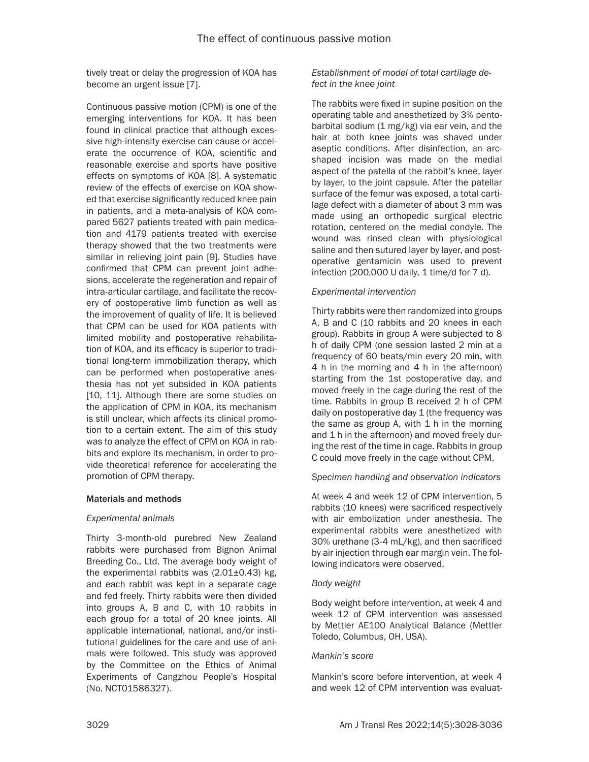tively treat or delay the progression of KOA has become an urgent issue [7].

Continuous passive motion (CPM) is one of the emerging interventions for KOA. It has been found in clinical practice that although excessive high-intensity exercise can cause or accelerate the occurrence of KOA, scientific and reasonable exercise and sports have positive effects on symptoms of KOA [8]. A systematic review of the effects of exercise on KOA showed that exercise significantly reduced knee pain in patients, and a meta-analysis of KOA compared 5627 patients treated with pain medication and 4179 patients treated with exercise therapy showed that the two treatments were similar in relieving joint pain [9]. Studies have confirmed that CPM can prevent joint adhesions, accelerate the regeneration and repair of intra-articular cartilage, and facilitate the recovery of postoperative limb function as well as the improvement of quality of life. It is believed that CPM can be used for KOA patients with limited mobility and postoperative rehabilitation of KOA, and its efficacy is superior to traditional long-term immobilization therapy, which can be performed when postoperative anesthesia has not yet subsided in KOA patients [10, 11]. Although there are some studies on the application of CPM in KOA, its mechanism is still unclear, which affects its clinical promotion to a certain extent. The aim of this study was to analyze the effect of CPM on KOA in rabbits and explore its mechanism, in order to provide theoretical reference for accelerating the promotion of CPM therapy.

## Materials and methods

## *Experimental animals*

Thirty 3-month-old purebred New Zealand rabbits were purchased from Bignon Animal Breeding Co., Ltd. The average body weight of the experimental rabbits was (2.01±0.43) kg, and each rabbit was kept in a separate cage and fed freely. Thirty rabbits were then divided into groups A, B and C, with 10 rabbits in each group for a total of 20 knee joints. All applicable international, national, and/or institutional guidelines for the care and use of animals were followed. This study was approved by the Committee on the Ethics of Animal Experiments of Cangzhou People's Hospital (No. NCT01586327).

## *Establishment of model of total cartilage defect in the knee joint*

The rabbits were fixed in supine position on the operating table and anesthetized by 3% pentobarbital sodium (1 mg/kg) via ear vein, and the hair at both knee joints was shaved under aseptic conditions. After disinfection, an arcshaped incision was made on the medial aspect of the patella of the rabbit's knee, layer by layer, to the joint capsule. After the patellar surface of the femur was exposed, a total cartilage defect with a diameter of about 3 mm was made using an orthopedic surgical electric rotation, centered on the medial condyle. The wound was rinsed clean with physiological saline and then sutured layer by layer, and postoperative gentamicin was used to prevent infection (200,000 U daily, 1 time/d for 7 d).

## *Experimental intervention*

Thirty rabbits were then randomized into groups A, B and C (10 rabbits and 20 knees in each group). Rabbits in group A were subjected to 8 h of daily CPM (one session lasted 2 min at a frequency of 60 beats/min every 20 min, with 4 h in the morning and 4 h in the afternoon) starting from the 1st postoperative day, and moved freely in the cage during the rest of the time. Rabbits in group B received 2 h of CPM daily on postoperative day 1 (the frequency was the same as group A, with  $1$  h in the morning and 1 h in the afternoon) and moved freely during the rest of the time in cage. Rabbits in group C could move freely in the cage without CPM.

# *Specimen handling and observation indicators*

At week 4 and week 12 of CPM intervention, 5 rabbits (10 knees) were sacrificed respectively with air embolization under anesthesia. The experimental rabbits were anesthetized with 30% urethane (3-4 mL/kg), and then sacrificed by air injection through ear margin vein. The following indicators were observed.

## *Body weight*

Body weight before intervention, at week 4 and week 12 of CPM intervention was assessed by Mettler AE100 Analytical Balance (Mettler Toledo, Columbus, OH, USA).

## *Mankin's score*

Mankin's score before intervention, at week 4 and week 12 of CPM intervention was evaluat-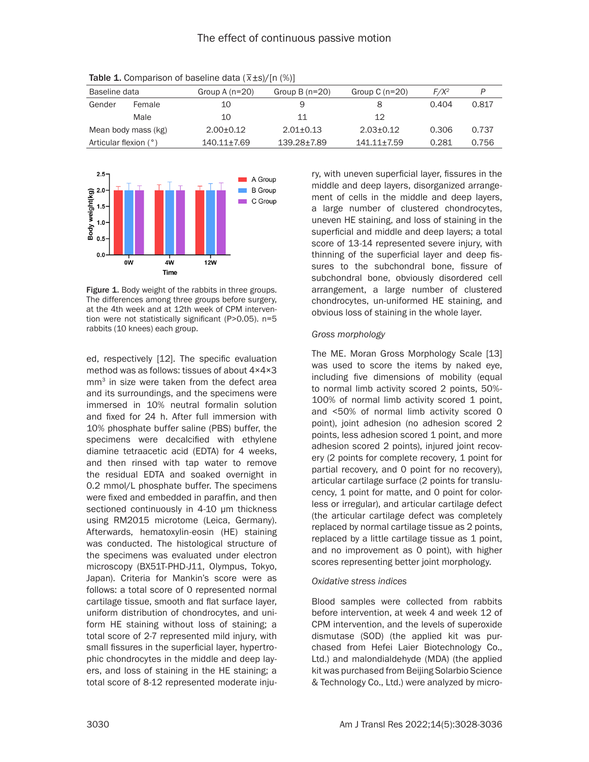| Baseline data         |      | Group A $(n=20)$ | Group B $(n=20)$ | Group C $(n=20)$ | $F/X^2$ | P     |
|-----------------------|------|------------------|------------------|------------------|---------|-------|
| Gender<br>Female      |      | 10               | 9                |                  | 0.404   | 0.817 |
|                       | Male | 10               | 11               | 12               |         |       |
| Mean body mass (kg)   |      | $2.00 + 0.12$    | $2.01 + 0.13$    | $2.03 + 0.12$    | 0.306   | 0.737 |
| Articular flexion (°) |      | 140.11±7.69      | 139.28+7.89      | 141.11+7.59      | 0.281   | 0.756 |

Table 1. Comparison of baseline data (\_ *x*±*s*)/[n (%)]



Figure 1. Body weight of the rabbits in three groups. The differences among three groups before surgery, at the 4th week and at 12th week of CPM intervention were not statistically significant (P>0.05). n=5 rabbits (10 knees) each group.

ed, respectively [12]. The specific evaluation method was as follows: tissues of about 4×4×3 mm<sup>3</sup> in size were taken from the defect area and its surroundings, and the specimens were immersed in 10% neutral formalin solution and fixed for 24 h. After full immersion with 10% phosphate buffer saline (PBS) buffer, the specimens were decalcified with ethylene diamine tetraacetic acid (EDTA) for 4 weeks, and then rinsed with tap water to remove the residual EDTA and soaked overnight in 0.2 mmol/L phosphate buffer. The specimens were fixed and embedded in paraffin, and then sectioned continuously in 4-10 μm thickness using RM2015 microtome (Leica, Germany). Afterwards, hematoxylin-eosin (HE) staining was conducted. The histological structure of the specimens was evaluated under electron microscopy (BX51T-PHD-J11, Olympus, Tokyo, Japan). Criteria for Mankin's score were as follows: a total score of 0 represented normal cartilage tissue, smooth and flat surface layer, uniform distribution of chondrocytes, and uniform HE staining without loss of staining; a total score of 2-7 represented mild injury, with small fissures in the superficial layer, hypertrophic chondrocytes in the middle and deep layers, and loss of staining in the HE staining; a total score of 8-12 represented moderate injury, with uneven superficial layer, fissures in the middle and deep layers, disorganized arrangement of cells in the middle and deep layers, a large number of clustered chondrocytes, uneven HE staining, and loss of staining in the superficial and middle and deep layers; a total score of 13-14 represented severe injury, with thinning of the superficial layer and deep fissures to the subchondral bone, fissure of subchondral bone, obviously disordered cell arrangement, a large number of clustered chondrocytes, un-uniformed HE staining, and obvious loss of staining in the whole layer.

### *Gross morphology*

The ME. Moran Gross Morphology Scale [13] was used to score the items by naked eye, including five dimensions of mobility (equal to normal limb activity scored 2 points, 50%- 100% of normal limb activity scored 1 point, and <50% of normal limb activity scored 0 point), joint adhesion (no adhesion scored 2 points, less adhesion scored 1 point, and more adhesion scored 2 points), injured joint recovery (2 points for complete recovery, 1 point for partial recovery, and 0 point for no recovery), articular cartilage surface (2 points for translucency, 1 point for matte, and 0 point for colorless or irregular), and articular cartilage defect (the articular cartilage defect was completely replaced by normal cartilage tissue as 2 points, replaced by a little cartilage tissue as 1 point, and no improvement as 0 point), with higher scores representing better joint morphology.

#### *Oxidative stress indices*

Blood samples were collected from rabbits before intervention, at week 4 and week 12 of CPM intervention, and the levels of superoxide dismutase (SOD) (the applied kit was purchased from Hefei Laier Biotechnology Co., Ltd.) and malondialdehyde (MDA) (the applied kit was purchased from Beijing Solarbio Science & Technology Co., Ltd.) were analyzed by micro-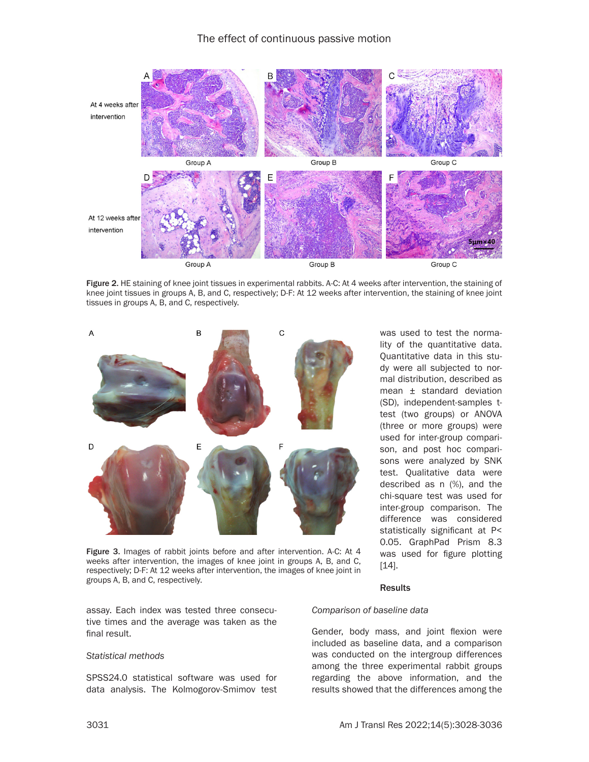

Figure 2. HE staining of knee joint tissues in experimental rabbits. A-C: At 4 weeks after intervention, the staining of knee joint tissues in groups A, B, and C, respectively; D-F: At 12 weeks after intervention, the staining of knee joint tissues in groups A, B, and C, respectively.



Figure 3. Images of rabbit joints before and after intervention. A-C: At 4 weeks after intervention, the images of knee joint in groups A, B, and C, respectively; D-F: At 12 weeks after intervention, the images of knee joint in groups A, B, and C, respectively.

was used to test the normality of the quantitative data. Quantitative data in this study were all subjected to normal distribution, described as mean ± standard deviation (SD), independent-samples ttest (two groups) or ANOVA (three or more groups) were used for inter-group comparison, and post hoc comparisons were analyzed by SNK test. Qualitative data were described as n (%), and the chi-square test was used for inter-group comparison. The difference was considered statistically significant at P< 0.05. GraphPad Prism 8.3 was used for figure plotting [14].

#### **Results**

#### *Comparison of baseline data*

Gender, body mass, and joint flexion were included as baseline data, and a comparison was conducted on the intergroup differences among the three experimental rabbit groups regarding the above information, and the results showed that the differences among the

assay. Each index was tested three consecutive times and the average was taken as the final result.

#### *Statistical methods*

SPSS24.0 statistical software was used for data analysis. The Kolmogorov-Smimov test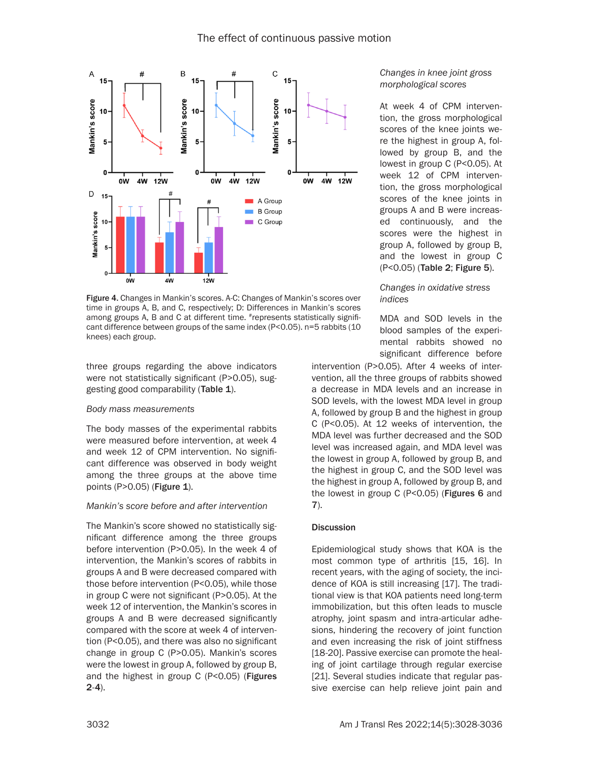

Figure 4. Changes in Mankin's scores. A-C: Changes of Mankin's scores over time in groups A, B, and C, respectively; D: Differences in Mankin's scores among groups A, B and C at different time. #represents statistically significant difference between groups of the same index (P<0.05). n=5 rabbits (10 knees) each group.

three groups regarding the above indicators were not statistically significant (P>0.05), suggesting good comparability (Table 1).

## *Body mass measurements*

The body masses of the experimental rabbits were measured before intervention, at week 4 and week 12 of CPM intervention. No significant difference was observed in body weight among the three groups at the above time points (P>0.05) (Figure 1).

## *Mankin's score before and after intervention*

The Mankin's score showed no statistically significant difference among the three groups before intervention (P>0.05). In the week 4 of intervention, the Mankin's scores of rabbits in groups A and B were decreased compared with those before intervention (P<0.05), while those in group C were not significant (P>0.05). At the week 12 of intervention, the Mankin's scores in groups A and B were decreased significantly compared with the score at week 4 of intervention (P<0.05), and there was also no significant change in group C (P>0.05). Mankin's scores were the lowest in group A, followed by group B, and the highest in group C (P<0.05) (Figures 2-4).

## *Changes in knee joint gross morphological scores*

At week 4 of CPM intervention, the gross morphological scores of the knee joints were the highest in group A, followed by group B, and the lowest in group C (P<0.05). At week 12 of CPM intervention, the gross morphological scores of the knee joints in groups A and B were increased continuously, and the scores were the highest in group A, followed by group B, and the lowest in group C (P<0.05) (Table 2; Figure 5).

## *Changes in oxidative stress indices*

MDA and SOD levels in the blood samples of the experimental rabbits showed no significant difference before

intervention (P>0.05). After 4 weeks of intervention, all the three groups of rabbits showed a decrease in MDA levels and an increase in SOD levels, with the lowest MDA level in group A, followed by group B and the highest in group C (P<0.05). At 12 weeks of intervention, the MDA level was further decreased and the SOD level was increased again, and MDA level was the lowest in group A, followed by group B, and the highest in group C, and the SOD level was the highest in group A, followed by group B, and the lowest in group C (P<0.05) (Figures 6 and 7).

## **Discussion**

Epidemiological study shows that KOA is the most common type of arthritis [15, 16]. In recent years, with the aging of society, the incidence of KOA is still increasing [17]. The traditional view is that KOA patients need long-term immobilization, but this often leads to muscle atrophy, joint spasm and intra-articular adhesions, hindering the recovery of joint function and even increasing the risk of joint stiffness [18-20]. Passive exercise can promote the healing of joint cartilage through regular exercise [21]. Several studies indicate that regular passive exercise can help relieve joint pain and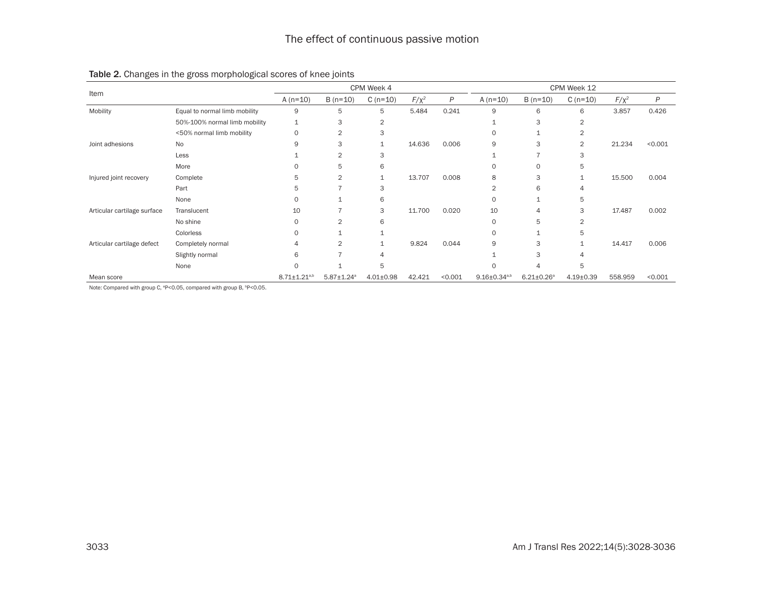|                             |                               | CPM Week 4            |                              |                 |            | CPM Week 12 |                       |                   |                 |            |         |
|-----------------------------|-------------------------------|-----------------------|------------------------------|-----------------|------------|-------------|-----------------------|-------------------|-----------------|------------|---------|
| Item                        |                               | A $(n=10)$            | $B(n=10)$                    | $C(n=10)$       | $F/\chi^2$ | P           | A $(n=10)$            | $B(n=10)$         | $C(n=10)$       | $F/\chi^2$ | P       |
| Mobility                    | Equal to normal limb mobility | 9                     | 5                            | 5               | 5.484      | 0.241       | 9                     | 6                 | 6               | 3.857      | 0.426   |
|                             | 50%-100% normal limb mobility | 1                     | 3                            | 2               |            |             | $\mathbf{1}$          | 3                 | 2               |            |         |
|                             | <50% normal limb mobility     | $\circ$               | $\overline{2}$               | 3               |            |             | $\Omega$              | $\mathbf{1}$      | $\overline{2}$  |            |         |
| Joint adhesions             | <b>No</b>                     | 9                     | 3                            |                 | 14.636     | 0.006       | 9                     | 3                 | $\overline{2}$  | 21.234     | < 0.001 |
|                             | Less                          |                       | $\overline{2}$               | 3               |            |             |                       |                   | 3               |            |         |
|                             | More                          | $\Omega$              | 5                            | 6               |            |             | $\Omega$              | $\mathbf 0$       | 5               |            |         |
| Injured joint recovery      | Complete                      | 5                     | $\overline{2}$               |                 | 13.707     | 0.008       | 8                     | 3                 |                 | 15.500     | 0.004   |
|                             | Part                          | 5                     |                              | 3               |            |             | $\overline{2}$        | 6                 |                 |            |         |
|                             | None                          | $\circ$               |                              | 6               |            |             | $\circ$               | 1                 | 5               |            |         |
| Articular cartilage surface | Translucent                   | 10                    |                              | 3               | 11.700     | 0.020       | 10                    | 4                 | 3               | 17.487     | 0.002   |
|                             | No shine                      | $\circ$               | $\overline{2}$               | 6               |            |             | $\circ$               | 5                 | 2               |            |         |
|                             | Colorless                     | $\Omega$              |                              |                 |            |             | $\circ$               |                   | 5               |            |         |
| Articular cartilage defect  | Completely normal             | $\overline{4}$        | $\overline{2}$               |                 | 9.824      | 0.044       | 9                     | 3                 |                 | 14.417     | 0.006   |
|                             | Slightly normal               | 6                     |                              | 4               |            |             |                       | 3                 |                 |            |         |
|                             | None                          | $\Omega$              |                              | 5               |            |             | $\Omega$              | 4                 | 5               |            |         |
| Mean score                  |                               | $8.71 \pm 1.21^{a,b}$ | $5.87 \pm 1.24$ <sup>a</sup> | $4.01 \pm 0.98$ | 42.421     | < 0.001     | $9.16 \pm 0.34^{a,b}$ | $6.21 \pm 0.26^a$ | $4.19 \pm 0.39$ | 558.959    | < 0.001 |

## Table 2. Changes in the gross morphological scores of knee joints

Note: Compared with group C, <sup>a</sup>P<0.05, compared with group B, <sup>b</sup>P<0.05.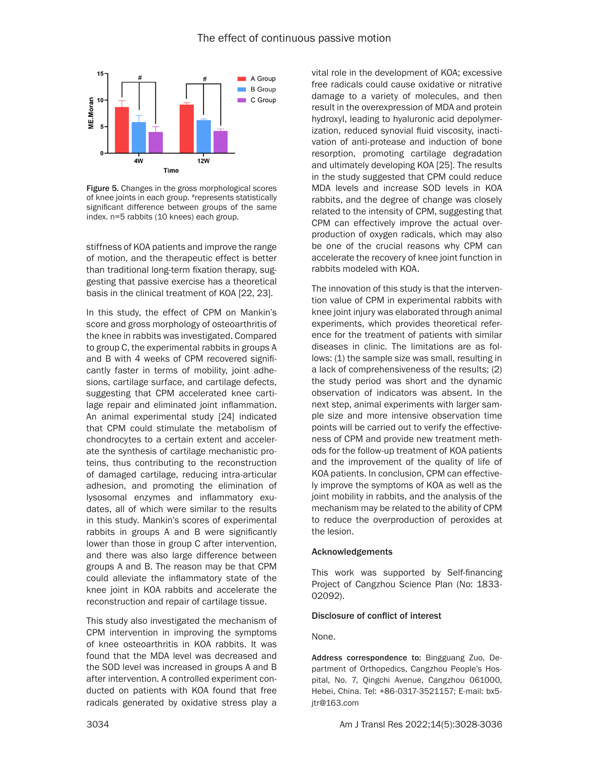

Figure 5. Changes in the gross morphological scores of knee joints in each group. #represents statistically significant difference between groups of the same index. n=5 rabbits (10 knees) each group.

stiffness of KOA patients and improve the range of motion, and the therapeutic effect is better than traditional long-term fixation therapy, suggesting that passive exercise has a theoretical basis in the clinical treatment of KOA [22, 23].

In this study, the effect of CPM on Mankin's score and gross morphology of osteoarthritis of the knee in rabbits was investigated. Compared to group C, the experimental rabbits in groups A and B with 4 weeks of CPM recovered significantly faster in terms of mobility, joint adhesions, cartilage surface, and cartilage defects, suggesting that CPM accelerated knee cartilage repair and eliminated joint inflammation. An animal experimental study [24] indicated that CPM could stimulate the metabolism of chondrocytes to a certain extent and accelerate the synthesis of cartilage mechanistic proteins, thus contributing to the reconstruction of damaged cartilage, reducing intra-articular adhesion, and promoting the elimination of lysosomal enzymes and inflammatory exudates, all of which were similar to the results in this study. Mankin's scores of experimental rabbits in groups A and B were significantly lower than those in group C after intervention, and there was also large difference between groups A and B. The reason may be that CPM could alleviate the inflammatory state of the knee joint in KOA rabbits and accelerate the reconstruction and repair of cartilage tissue.

This study also investigated the mechanism of CPM intervention in improving the symptoms of knee osteoarthritis in KOA rabbits. It was found that the MDA level was decreased and the SOD level was increased in groups A and B after intervention. A controlled experiment conducted on patients with KOA found that free radicals generated by oxidative stress play a vital role in the development of KOA; excessive free radicals could cause oxidative or nitrative damage to a variety of molecules, and then result in the overexpression of MDA and protein hydroxyl, leading to hyaluronic acid depolymerization, reduced synovial fluid viscosity, inactivation of anti-protease and induction of bone resorption, promoting cartilage degradation and ultimately developing KOA [25]. The results in the study suggested that CPM could reduce MDA levels and increase SOD levels in KOA rabbits, and the degree of change was closely related to the intensity of CPM, suggesting that CPM can effectively improve the actual overproduction of oxygen radicals, which may also be one of the crucial reasons why CPM can accelerate the recovery of knee joint function in rabbits modeled with KOA.

The innovation of this study is that the intervention value of CPM in experimental rabbits with knee joint injury was elaborated through animal experiments, which provides theoretical reference for the treatment of patients with similar diseases in clinic. The limitations are as follows: (1) the sample size was small, resulting in a lack of comprehensiveness of the results; (2) the study period was short and the dynamic observation of indicators was absent. In the next step, animal experiments with larger sample size and more intensive observation time points will be carried out to verify the effectiveness of CPM and provide new treatment methods for the follow-up treatment of KOA patients and the improvement of the quality of life of KOA patients. In conclusion, CPM can effectively improve the symptoms of KOA as well as the joint mobility in rabbits, and the analysis of the mechanism may be related to the ability of CPM to reduce the overproduction of peroxides at the lesion.

## Acknowledgements

This work was supported by Self-financing Project of Cangzhou Science Plan (No: 1833- 02092).

## Disclosure of conflict of interest

## None.

Address correspondence to: Bingguang Zuo, Department of Orthopedics, Cangzhou People's Hospital, No. 7, Qingchi Avenue, Cangzhou 061000, Hebei, China. Tel: +86-0317-3521157; E-mail: [bx5](mailto:bx5jtr@163.com) [jtr@163.com](mailto:bx5jtr@163.com)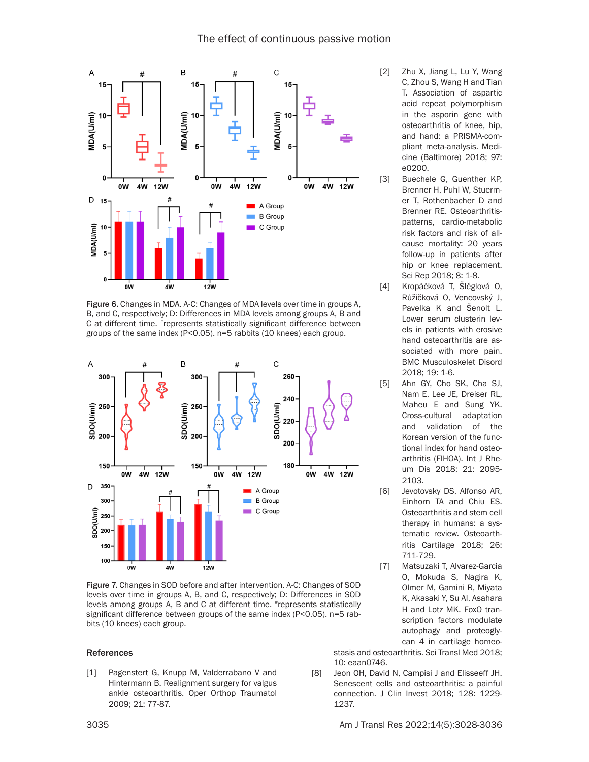

Figure 6. Changes in MDA. A-C: Changes of MDA levels over time in groups A, B, and C, respectively; D: Differences in MDA levels among groups A, B and C at different time. #represents statistically significant difference between groups of the same index (P<0.05). n=5 rabbits (10 knees) each group.



Figure 7. Changes in SOD before and after intervention. A-C: Changes of SOD levels over time in groups A, B, and C, respectively; D: Differences in SOD levels among groups A, B and C at different time. #represents statistically significant difference between groups of the same index (P<0.05). n=5 rabbits (10 knees) each group.

#### References

[1] Pagenstert G, Knupp M, Valderrabano V and Hintermann B. Realignment surgery for valgus ankle osteoarthritis. Oper Orthop Traumatol 2009; 21: 77-87.

- [2] Zhu X, Jiang L, Lu Y, Wang C, Zhou S, Wang H and Tian T. Association of aspartic acid repeat polymorphism in the asporin gene with osteoarthritis of knee, hip, and hand: a PRISMA-compliant meta-analysis. Medicine (Baltimore) 2018; 97: e0200.
- [3] Buechele G, Guenther KP, Brenner H, Puhl W, Stuermer T, Rothenbacher D and Brenner RE. Osteoarthritispatterns, cardio-metabolic risk factors and risk of allcause mortality: 20 years follow-up in patients after hip or knee replacement. Sci Rep 2018; 8: 1-8.
- [4] Kropáčková T, Šléglová O, Růžičková O, Vencovský J, Pavelka K and Šenolt L. Lower serum clusterin levels in patients with erosive hand osteoarthritis are associated with more pain. BMC Musculoskelet Disord 2018; 19: 1-6.
- [5] Ahn GY, Cho SK, Cha SJ, Nam E, Lee JE, Dreiser RL, Maheu E and Sung YK. Cross-cultural adaptation and validation of the Korean version of the functional index for hand osteoarthritis (FIHOA). Int J Rheum Dis 2018; 21: 2095- 2103.
- [6] Jevotovsky DS, Alfonso AR, Einhorn TA and Chiu ES. Osteoarthritis and stem cell therapy in humans: a systematic review. Osteoarthritis Cartilage 2018; 26: 711-729.
- [7] Matsuzaki T, Alvarez-Garcia O, Mokuda S, Nagira K, Olmer M, Gamini R, Miyata K, Akasaki Y, Su AI, Asahara H and Lotz MK. FoxO transcription factors modulate autophagy and proteoglycan 4 in cartilage homeo-

stasis and osteoarthritis. Sci Transl Med 2018; 10: eaan0746.

[8] Jeon OH, David N, Campisi J and Elisseeff JH. Senescent cells and osteoarthritis: a painful connection. J Clin Invest 2018; 128: 1229- 1237.